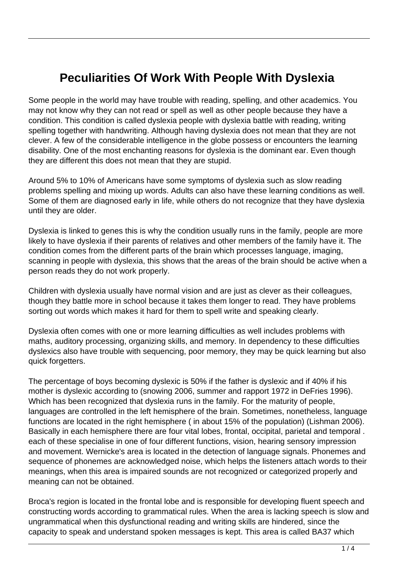## **Peculiarities Of Work With People With Dyslexia**

Some people in the world may have trouble with reading, spelling, and other academics. You may not know why they can not read or spell as well as other people because they have a condition. This condition is called dyslexia people with dyslexia battle with reading, writing spelling together with handwriting. Although having dyslexia does not mean that they are not clever. A few of the considerable intelligence in the globe possess or encounters the learning disability. One of the most enchanting reasons for dyslexia is the dominant ear. Even though they are different this does not mean that they are stupid.

Around 5% to 10% of Americans have some symptoms of dyslexia such as slow reading problems spelling and mixing up words. Adults can also have these learning conditions as well. Some of them are diagnosed early in life, while others do not recognize that they have dyslexia until they are older.

Dyslexia is linked to genes this is why the condition usually runs in the family, people are more likely to have dyslexia if their parents of relatives and other members of the family have it. The condition comes from the different parts of the brain which processes language, imaging, scanning in people with dyslexia, this shows that the areas of the brain should be active when a person reads they do not work properly.

Children with dyslexia usually have normal vision and are just as clever as their colleagues, though they battle more in school because it takes them longer to read. They have problems sorting out words which makes it hard for them to spell write and speaking clearly.

Dyslexia often comes with one or more learning difficulties as well includes problems with maths, auditory processing, organizing skills, and memory. In dependency to these difficulties dyslexics also have trouble with sequencing, poor memory, they may be quick learning but also quick forgetters.

The percentage of boys becoming dyslexic is 50% if the father is dyslexic and if 40% if his mother is dyslexic according to (snowing 2006, summer and rapport 1972 in DeFries 1996). Which has been recognized that dyslexia runs in the family. For the maturity of people, languages are controlled in the left hemisphere of the brain. Sometimes, nonetheless, language functions are located in the right hemisphere ( in about 15% of the population) (Lishman 2006). Basically in each hemisphere there are four vital lobes, frontal, occipital, parietal and temporal . each of these specialise in one of four different functions, vision, hearing sensory impression and movement. Wernicke's area is located in the detection of language signals. Phonemes and sequence of phonemes are acknowledged noise, which helps the listeners attach words to their meanings, when this area is impaired sounds are not recognized or categorized properly and meaning can not be obtained.

Broca's region is located in the frontal lobe and is responsible for developing fluent speech and constructing words according to grammatical rules. When the area is lacking speech is slow and ungrammatical when this dysfunctional reading and writing skills are hindered, since the capacity to speak and understand spoken messages is kept. This area is called BA37 which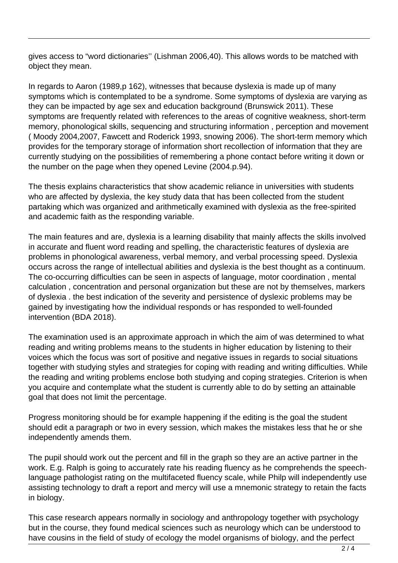gives access to "word dictionaries'' (Lishman 2006,40). This allows words to be matched with object they mean.

In regards to Aaron (1989,p 162), witnesses that because dyslexia is made up of many symptoms which is contemplated to be a syndrome. Some symptoms of dyslexia are varying as they can be impacted by age sex and education background (Brunswick 2011). These symptoms are frequently related with references to the areas of cognitive weakness, short-term memory, phonological skills, sequencing and structuring information , perception and movement ( Moody 2004,2007, Fawcett and Roderick 1993, snowing 2006). The short-term memory which provides for the temporary storage of information short recollection of information that they are currently studying on the possibilities of remembering a phone contact before writing it down or the number on the page when they opened Levine (2004.p.94).

The thesis explains characteristics that show academic reliance in universities with students who are affected by dyslexia, the key study data that has been collected from the student partaking which was organized and arithmetically examined with dyslexia as the free-spirited and academic faith as the responding variable.

The main features and are, dyslexia is a learning disability that mainly affects the skills involved in accurate and fluent word reading and spelling, the characteristic features of dyslexia are problems in phonological awareness, verbal memory, and verbal processing speed. Dyslexia occurs across the range of intellectual abilities and dyslexia is the best thought as a continuum. The co-occurring difficulties can be seen in aspects of language, motor coordination , mental calculation , concentration and personal organization but these are not by themselves, markers of dyslexia . the best indication of the severity and persistence of dyslexic problems may be gained by investigating how the individual responds or has responded to well-founded intervention (BDA 2018).

The examination used is an approximate approach in which the aim of was determined to what reading and writing problems means to the students in higher education by listening to their voices which the focus was sort of positive and negative issues in regards to social situations together with studying styles and strategies for coping with reading and writing difficulties. While the reading and writing problems enclose both studying and coping strategies. Criterion is when you acquire and contemplate what the student is currently able to do by setting an attainable goal that does not limit the percentage.

Progress monitoring should be for example happening if the editing is the goal the student should edit a paragraph or two in every session, which makes the mistakes less that he or she independently amends them.

The pupil should work out the percent and fill in the graph so they are an active partner in the work. E.g. Ralph is going to accurately rate his reading fluency as he comprehends the speechlanguage pathologist rating on the multifaceted fluency scale, while Philp will independently use assisting technology to draft a report and mercy will use a mnemonic strategy to retain the facts in biology.

This case research appears normally in sociology and anthropology together with psychology but in the course, they found medical sciences such as neurology which can be understood to have cousins in the field of study of ecology the model organisms of biology, and the perfect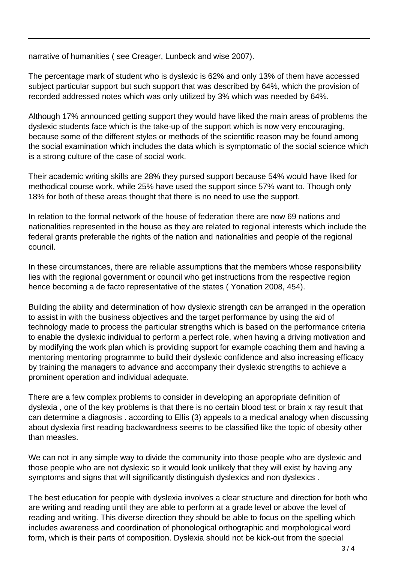narrative of humanities ( see Creager, Lunbeck and wise 2007).

The percentage mark of student who is dyslexic is 62% and only 13% of them have accessed subject particular support but such support that was described by 64%, which the provision of recorded addressed notes which was only utilized by 3% which was needed by 64%.

Although 17% announced getting support they would have liked the main areas of problems the dyslexic students face which is the take-up of the support which is now very encouraging, because some of the different styles or methods of the scientific reason may be found among the social examination which includes the data which is symptomatic of the social science which is a strong culture of the case of social work.

Their academic writing skills are 28% they pursed support because 54% would have liked for methodical course work, while 25% have used the support since 57% want to. Though only 18% for both of these areas thought that there is no need to use the support.

In relation to the formal network of the house of federation there are now 69 nations and nationalities represented in the house as they are related to regional interests which include the federal grants preferable the rights of the nation and nationalities and people of the regional council.

In these circumstances, there are reliable assumptions that the members whose responsibility lies with the regional government or council who get instructions from the respective region hence becoming a de facto representative of the states ( Yonation 2008, 454).

Building the ability and determination of how dyslexic strength can be arranged in the operation to assist in with the business objectives and the target performance by using the aid of technology made to process the particular strengths which is based on the performance criteria to enable the dyslexic individual to perform a perfect role, when having a driving motivation and by modifying the work plan which is providing support for example coaching them and having a mentoring mentoring programme to build their dyslexic confidence and also increasing efficacy by training the managers to advance and accompany their dyslexic strengths to achieve a prominent operation and individual adequate.

There are a few complex problems to consider in developing an appropriate definition of dyslexia , one of the key problems is that there is no certain blood test or brain x ray result that can determine a diagnosis . according to Ellis (3) appeals to a medical analogy when discussing about dyslexia first reading backwardness seems to be classified like the topic of obesity other than measles.

We can not in any simple way to divide the community into those people who are dyslexic and those people who are not dyslexic so it would look unlikely that they will exist by having any symptoms and signs that will significantly distinguish dyslexics and non dyslexics .

The best education for people with dyslexia involves a clear structure and direction for both who are writing and reading until they are able to perform at a grade level or above the level of reading and writing. This diverse direction they should be able to focus on the spelling which includes awareness and coordination of phonological orthographic and morphological word form, which is their parts of composition. Dyslexia should not be kick-out from the special